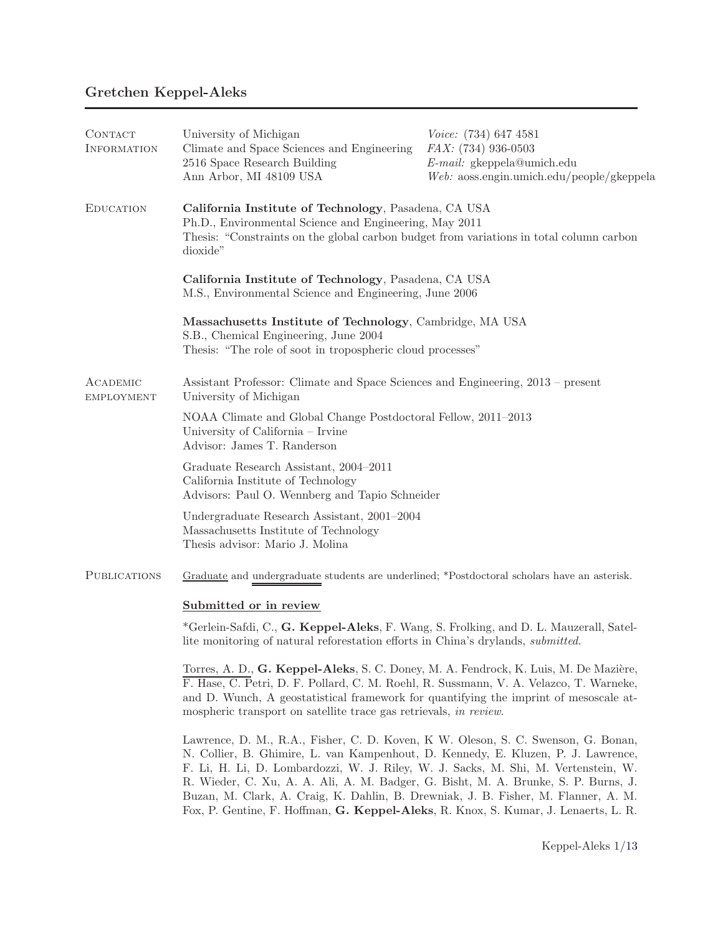# Gretchen Keppel-Aleks

| CONTACT<br><b>INFORMATION</b> | University of Michigan<br>Climate and Space Sciences and Engineering<br>2516 Space Research Building<br>Ann Arbor, MI 48109 USA                                                                                       | Voice: (734) 647 4581<br>FAX: (734) 936-0503<br>$E$ -mail: gkeppela@umich.edu<br>$Web:$ aoss.engin.umich.edu/people/gkeppela |
|-------------------------------|-----------------------------------------------------------------------------------------------------------------------------------------------------------------------------------------------------------------------|------------------------------------------------------------------------------------------------------------------------------|
| <b>EDUCATION</b>              | California Institute of Technology, Pasadena, CA USA<br>Ph.D., Environmental Science and Engineering, May 2011<br>Thesis: "Constraints on the global carbon budget from variations in total column carbon<br>dioxide" |                                                                                                                              |
|                               | California Institute of Technology, Pasadena, CA USA<br>M.S., Environmental Science and Engineering, June 2006                                                                                                        |                                                                                                                              |
|                               | Massachusetts Institute of Technology, Cambridge, MA USA<br>S.B., Chemical Engineering, June 2004<br>Thesis: "The role of soot in tropospheric cloud processes"                                                       |                                                                                                                              |
| ACADEMIC<br><b>EMPLOYMENT</b> | Assistant Professor: Climate and Space Sciences and Engineering, 2013 – present<br>University of Michigan                                                                                                             |                                                                                                                              |
|                               | NOAA Climate and Global Change Postdoctoral Fellow, 2011-2013<br>University of California - Irvine<br>Advisor: James T. Randerson                                                                                     |                                                                                                                              |
|                               | Graduate Research Assistant, 2004–2011<br>California Institute of Technology<br>Advisors: Paul O. Wennberg and Tapio Schneider                                                                                        |                                                                                                                              |
|                               | Undergraduate Research Assistant, 2001-2004<br>Massachusetts Institute of Technology<br>Thesis advisor: Mario J. Molina                                                                                               |                                                                                                                              |
| <b>PUBLICATIONS</b>           | Graduate and undergraduate students are underlined; *Postdoctoral scholars have an asterisk.                                                                                                                          |                                                                                                                              |
|                               | Submitted or in review                                                                                                                                                                                                |                                                                                                                              |
|                               | *Gerlein-Safdi, C., G. Keppel-Aleks, F. Wang, S. Frolking, and D. L. Mauzerall, Satel-<br>lite monitoring of natural reforestation efforts in China's drylands, <i>submitted</i> .                                    |                                                                                                                              |
|                               | Torres, A. D., G. Keppel-Aleks, S. C. Doney, M. A. Fendrock, K. Luis, M. De Mazière,                                                                                                                                  |                                                                                                                              |

F. Hase, C. Petri, D. F. Pollard, C. M. Roehl, R. Sussmann, V. A. Velazco, T. Warneke, and D. Wunch, A geostatistical framework for quantifying the imprint of mesoscale atmospheric transport on satellite trace gas retrievals, *in review*.

Lawrence, D. M., R.A., Fisher, C. D. Koven, K W. Oleson, S. C. Swenson, G. Bonan, N. Collier, B. Ghimire, L. van Kampenhout, D. Kennedy, E. Kluzen, P. J. Lawrence, F. Li, H. Li, D. Lombardozzi, W. J. Riley, W. J. Sacks, M. Shi, M. Vertenstein, W. R. Wieder, C. Xu, A. A. Ali, A. M. Badger, G. Bisht, M. A. Brunke, S. P. Burns, J. Buzan, M. Clark, A. Craig, K. Dahlin, B. Drewniak, J. B. Fisher, M. Flanner, A. M. Fox, P. Gentine, F. Hoffman, G. Keppel-Aleks, R. Knox, S. Kumar, J. Lenaerts, L. R.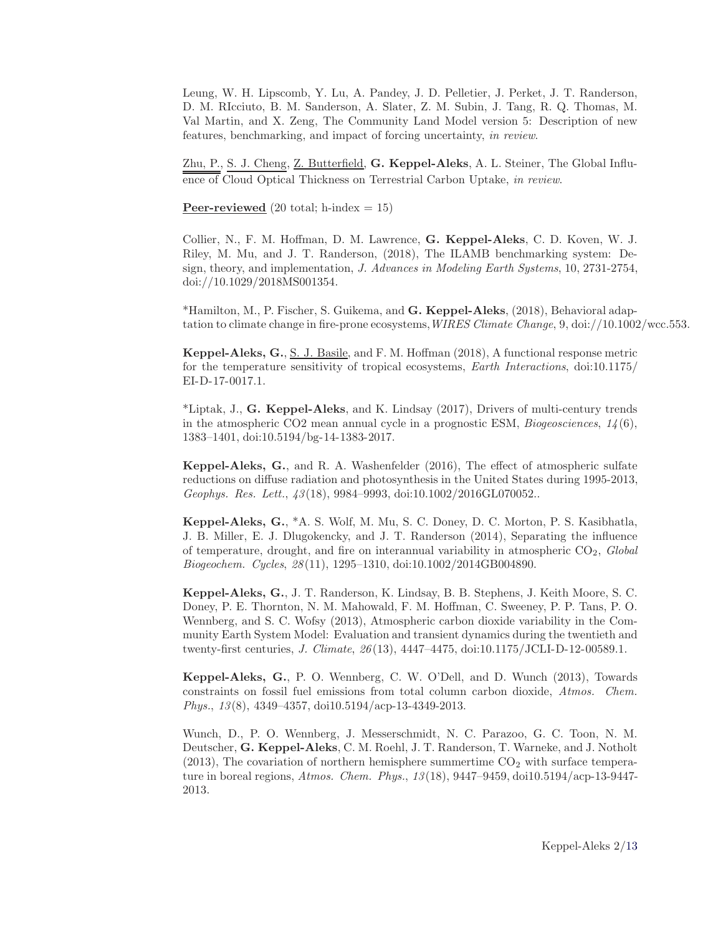Leung, W. H. Lipscomb, Y. Lu, A. Pandey, J. D. Pelletier, J. Perket, J. T. Randerson, D. M. RIcciuto, B. M. Sanderson, A. Slater, Z. M. Subin, J. Tang, R. Q. Thomas, M. Val Martin, and X. Zeng, The Community Land Model version 5: Description of new features, benchmarking, and impact of forcing uncertainty, *in review*.

Zhu, P., S. J. Cheng, <u>Z. Butterfield,</u> G. Keppel-Aleks, A. L. Steiner, The Global Influence of Cloud Optical Thickness on Terrestrial Carbon Uptake, *in review*.

**Peer-reviewed** (20 total; h-index  $= 15$ )

Collier, N., F. M. Hoffman, D. M. Lawrence, G. Keppel-Aleks, C. D. Koven, W. J. Riley, M. Mu, and J. T. Randerson, (2018), The ILAMB benchmarking system: Design, theory, and implementation, *J. Advances in Modeling Earth Systems*, 10, 2731-2754, doi://10.1029/2018MS001354.

\*Hamilton, M., P. Fischer, S. Guikema, and G. Keppel-Aleks, (2018), Behavioral adaptation to climate change in fire-prone ecosystems,*WIRES Climate Change*, 9, doi://10.1002/wcc.553.

Keppel-Aleks, G., S. J. Basile, and F. M. Hoffman (2018), A functional response metric for the temperature sensitivity of tropical ecosystems, *Earth Interactions*, doi:10.1175/ EI-D-17-0017.1.

\*Liptak, J., G. Keppel-Aleks, and K. Lindsay (2017), Drivers of multi-century trends in the atmospheric CO2 mean annual cycle in a prognostic ESM, *Biogeosciences*, *14*(6), 1383–1401, doi:10.5194/bg-14-1383-2017.

Keppel-Aleks, G., and R. A. Washenfelder (2016), The effect of atmospheric sulfate reductions on diffuse radiation and photosynthesis in the United States during 1995-2013, *Geophys. Res. Lett.*, *43*(18), 9984–9993, doi:10.1002/2016GL070052..

Keppel-Aleks, G., \*A. S. Wolf, M. Mu, S. C. Doney, D. C. Morton, P. S. Kasibhatla, J. B. Miller, E. J. Dlugokencky, and J. T. Randerson (2014), Separating the influence of temperature, drought, and fire on interannual variability in atmospheric CO2, *Global Biogeochem. Cycles*, *28*(11), 1295–1310, doi:10.1002/2014GB004890.

Keppel-Aleks, G., J. T. Randerson, K. Lindsay, B. B. Stephens, J. Keith Moore, S. C. Doney, P. E. Thornton, N. M. Mahowald, F. M. Hoffman, C. Sweeney, P. P. Tans, P. O. Wennberg, and S. C. Wofsy (2013), Atmospheric carbon dioxide variability in the Community Earth System Model: Evaluation and transient dynamics during the twentieth and twenty-first centuries, *J. Climate*, *26*(13), 4447–4475, doi:10.1175/JCLI-D-12-00589.1.

Keppel-Aleks, G., P. O. Wennberg, C. W. O'Dell, and D. Wunch (2013), Towards constraints on fossil fuel emissions from total column carbon dioxide, *Atmos. Chem. Phys.*, *13*(8), 4349–4357, doi10.5194/acp-13-4349-2013.

Wunch, D., P. O. Wennberg, J. Messerschmidt, N. C. Parazoo, G. C. Toon, N. M. Deutscher, G. Keppel-Aleks, C. M. Roehl, J. T. Randerson, T. Warneke, and J. Notholt  $(2013)$ , The covariation of northern hemisphere summertime  $CO<sub>2</sub>$  with surface temperature in boreal regions, *Atmos. Chem. Phys.*, *13*(18), 9447–9459, doi10.5194/acp-13-9447- 2013.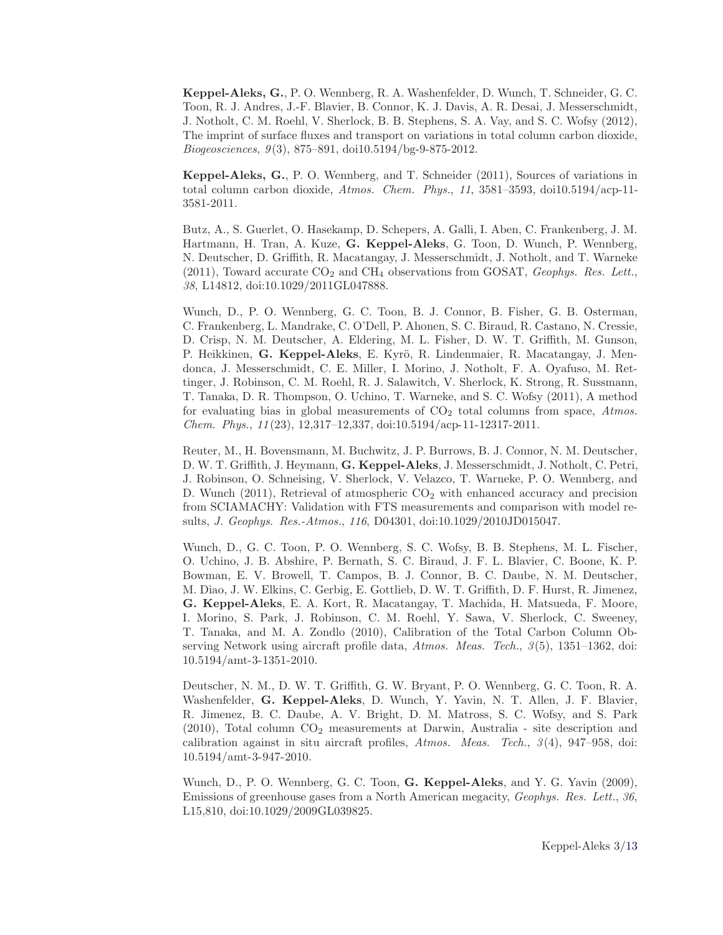Keppel-Aleks, G., P. O. Wennberg, R. A. Washenfelder, D. Wunch, T. Schneider, G. C. Toon, R. J. Andres, J.-F. Blavier, B. Connor, K. J. Davis, A. R. Desai, J. Messerschmidt, J. Notholt, C. M. Roehl, V. Sherlock, B. B. Stephens, S. A. Vay, and S. C. Wofsy (2012), The imprint of surface fluxes and transport on variations in total column carbon dioxide, *Biogeosciences*, *9*(3), 875–891, doi10.5194/bg-9-875-2012.

Keppel-Aleks, G., P. O. Wennberg, and T. Schneider (2011), Sources of variations in total column carbon dioxide, *Atmos. Chem. Phys.*, *11*, 3581–3593, doi10.5194/acp-11- 3581-2011.

Butz, A., S. Guerlet, O. Hasekamp, D. Schepers, A. Galli, I. Aben, C. Frankenberg, J. M. Hartmann, H. Tran, A. Kuze, G. Keppel-Aleks, G. Toon, D. Wunch, P. Wennberg, N. Deutscher, D. Griffith, R. Macatangay, J. Messerschmidt, J. Notholt, and T. Warneke  $(2011)$ , Toward accurate  $CO<sub>2</sub>$  and  $CH<sub>4</sub>$  observations from GOSAT, *Geophys. Res. Lett.*, *38*, L14812, doi:10.1029/2011GL047888.

Wunch, D., P. O. Wennberg, G. C. Toon, B. J. Connor, B. Fisher, G. B. Osterman, C. Frankenberg, L. Mandrake, C. O'Dell, P. Ahonen, S. C. Biraud, R. Castano, N. Cressie, D. Crisp, N. M. Deutscher, A. Eldering, M. L. Fisher, D. W. T. Griffith, M. Gunson, P. Heikkinen, G. Keppel-Aleks, E. Kyrö, R. Lindenmaier, R. Macatangay, J. Mendonca, J. Messerschmidt, C. E. Miller, I. Morino, J. Notholt, F. A. Oyafuso, M. Rettinger, J. Robinson, C. M. Roehl, R. J. Salawitch, V. Sherlock, K. Strong, R. Sussmann, T. Tanaka, D. R. Thompson, O. Uchino, T. Warneke, and S. C. Wofsy (2011), A method for evaluating bias in global measurements of  $CO<sub>2</sub>$  total columns from space, *Atmos. Chem. Phys.*, *11*(23), 12,317–12,337, doi:10.5194/acp-11-12317-2011.

Reuter, M., H. Bovensmann, M. Buchwitz, J. P. Burrows, B. J. Connor, N. M. Deutscher, D. W. T. Griffith, J. Heymann, G. Keppel-Aleks, J. Messerschmidt, J. Notholt, C. Petri, J. Robinson, O. Schneising, V. Sherlock, V. Velazco, T. Warneke, P. O. Wennberg, and D. Wunch  $(2011)$ , Retrieval of atmospheric  $CO<sub>2</sub>$  with enhanced accuracy and precision from SCIAMACHY: Validation with FTS measurements and comparison with model results, *J. Geophys. Res.-Atmos.*, *116*, D04301, doi:10.1029/2010JD015047.

Wunch, D., G. C. Toon, P. O. Wennberg, S. C. Wofsy, B. B. Stephens, M. L. Fischer, O. Uchino, J. B. Abshire, P. Bernath, S. C. Biraud, J. F. L. Blavier, C. Boone, K. P. Bowman, E. V. Browell, T. Campos, B. J. Connor, B. C. Daube, N. M. Deutscher, M. Diao, J. W. Elkins, C. Gerbig, E. Gottlieb, D. W. T. Griffith, D. F. Hurst, R. Jimenez, G. Keppel-Aleks, E. A. Kort, R. Macatangay, T. Machida, H. Matsueda, F. Moore, I. Morino, S. Park, J. Robinson, C. M. Roehl, Y. Sawa, V. Sherlock, C. Sweeney, T. Tanaka, and M. A. Zondlo (2010), Calibration of the Total Carbon Column Observing Network using aircraft profile data, *Atmos. Meas. Tech.*, *3*(5), 1351–1362, doi: 10.5194/amt-3-1351-2010.

Deutscher, N. M., D. W. T. Griffith, G. W. Bryant, P. O. Wennberg, G. C. Toon, R. A. Washenfelder, G. Keppel-Aleks, D. Wunch, Y. Yavin, N. T. Allen, J. F. Blavier, R. Jimenez, B. C. Daube, A. V. Bright, D. M. Matross, S. C. Wofsy, and S. Park  $(2010)$ , Total column  $CO<sub>2</sub>$  measurements at Darwin, Australia - site description and calibration against in situ aircraft profiles, *Atmos. Meas. Tech.*, *3*(4), 947–958, doi: 10.5194/amt-3-947-2010.

Wunch, D., P. O. Wennberg, G. C. Toon, G. Keppel-Aleks, and Y. G. Yavin (2009), Emissions of greenhouse gases from a North American megacity, *Geophys. Res. Lett.*, *36*, L15,810, doi:10.1029/2009GL039825.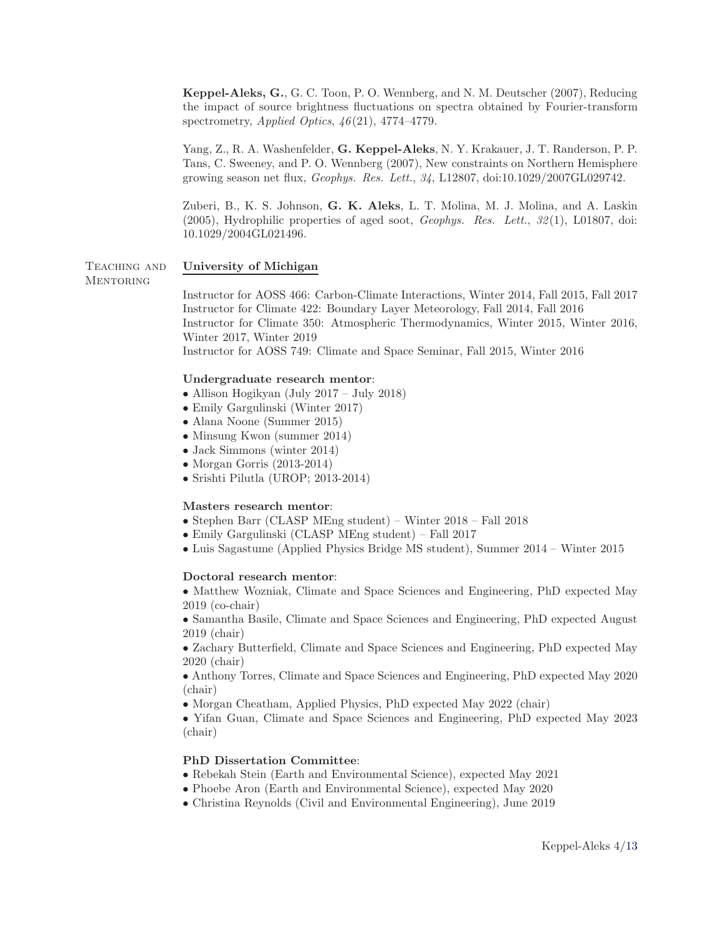Keppel-Aleks, G., G. C. Toon, P. O. Wennberg, and N. M. Deutscher (2007), Reducing the impact of source brightness fluctuations on spectra obtained by Fourier-transform spectrometry, *Applied Optics*, *46*(21), 4774–4779.

Yang, Z., R. A. Washenfelder, G. Keppel-Aleks, N. Y. Krakauer, J. T. Randerson, P. P. Tans, C. Sweeney, and P. O. Wennberg (2007), New constraints on Northern Hemisphere growing season net flux, *Geophys. Res. Lett.*, *34*, L12807, doi:10.1029/2007GL029742.

Zuberi, B., K. S. Johnson, G. K. Aleks, L. T. Molina, M. J. Molina, and A. Laskin (2005), Hydrophilic properties of aged soot, *Geophys. Res. Lett.*, *32*(1), L01807, doi: 10.1029/2004GL021496.

#### TEACHING AND University of Michigan **MENTORING**

Instructor for AOSS 466: Carbon-Climate Interactions, Winter 2014, Fall 2015, Fall 2017 Instructor for Climate 422: Boundary Layer Meteorology, Fall 2014, Fall 2016 Instructor for Climate 350: Atmospheric Thermodynamics, Winter 2015, Winter 2016, Winter 2017, Winter 2019 Instructor for AOSS 749: Climate and Space Seminar, Fall 2015, Winter 2016

#### Undergraduate research mentor:

- Allison Hogikyan (July 2017 July 2018)
- Emily Gargulinski (Winter 2017)
- Alana Noone (Summer 2015)
- Minsung Kwon (summer 2014)
- Jack Simmons (winter 2014)
- Morgan Gorris (2013-2014)
- Srishti Pilutla (UROP; 2013-2014)

#### Masters research mentor:

- Stephen Barr (CLASP MEng student) Winter 2018 Fall 2018
- Emily Gargulinski (CLASP MEng student) Fall 2017
- Luis Sagastume (Applied Physics Bridge MS student), Summer 2014 Winter 2015

#### Doctoral research mentor:

• Matthew Wozniak, Climate and Space Sciences and Engineering, PhD expected May 2019 (co-chair)

• Samantha Basile, Climate and Space Sciences and Engineering, PhD expected August 2019 (chair)

• Zachary Butterfield, Climate and Space Sciences and Engineering, PhD expected May 2020 (chair)

• Anthony Torres, Climate and Space Sciences and Engineering, PhD expected May 2020 (chair)

• Morgan Cheatham, Applied Physics, PhD expected May 2022 (chair)

• Yifan Guan, Climate and Space Sciences and Engineering, PhD expected May 2023 (chair)

### PhD Dissertation Committee:

- Rebekah Stein (Earth and Environmental Science), expected May 2021
- Phoebe Aron (Earth and Environmental Science), expected May 2020
- Christina Reynolds (Civil and Environmental Engineering), June 2019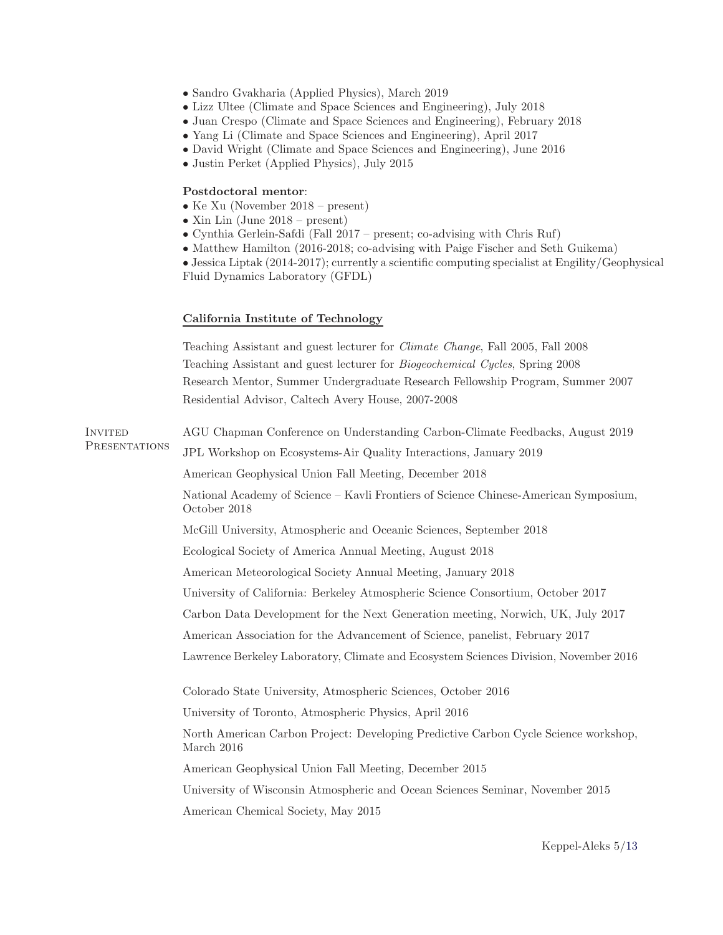- Sandro Gvakharia (Applied Physics), March 2019
- Lizz Ultee (Climate and Space Sciences and Engineering), July 2018
- Juan Crespo (Climate and Space Sciences and Engineering), February 2018
- Yang Li (Climate and Space Sciences and Engineering), April 2017
- David Wright (Climate and Space Sciences and Engineering), June 2016
- Justin Perket (Applied Physics), July 2015

### Postdoctoral mentor:

- Ke Xu (November 2018 present)
- Xin Lin (June 2018 present)
- Cynthia Gerlein-Safdi (Fall 2017 present; co-advising with Chris Ruf)
- Matthew Hamilton (2016-2018; co-advising with Paige Fischer and Seth Guikema)

• Jessica Liptak (2014-2017); currently a scientific computing specialist at Engility/Geophysical Fluid Dynamics Laboratory (GFDL)

### California Institute of Technology

Teaching Assistant and guest lecturer for *Climate Change*, Fall 2005, Fall 2008 Teaching Assistant and guest lecturer for *Biogeochemical Cycles*, Spring 2008 Research Mentor, Summer Undergraduate Research Fellowship Program, Summer 2007 Residential Advisor, Caltech Avery House, 2007-2008 Invited AGU Chapman Conference on Understanding Carbon-Climate Feedbacks, August 2019 Presentations JPL Workshop on Ecosystems-Air Quality Interactions, January 2019 American Geophysical Union Fall Meeting, December 2018 National Academy of Science – Kavli Frontiers of Science Chinese-American Symposium, October 2018 McGill University, Atmospheric and Oceanic Sciences, September 2018 Ecological Society of America Annual Meeting, August 2018 American Meteorological Society Annual Meeting, January 2018 University of California: Berkeley Atmospheric Science Consortium, October 2017 Carbon Data Development for the Next Generation meeting, Norwich, UK, July 2017 American Association for the Advancement of Science, panelist, February 2017 Lawrence Berkeley Laboratory, Climate and Ecosystem Sciences Division, November 2016 Colorado State University, Atmospheric Sciences, October 2016 University of Toronto, Atmospheric Physics, April 2016 North American Carbon Project: Developing Predictive Carbon Cycle Science workshop, March 2016 American Geophysical Union Fall Meeting, December 2015 University of Wisconsin Atmospheric and Ocean Sciences Seminar, November 2015 American Chemical Society, May 2015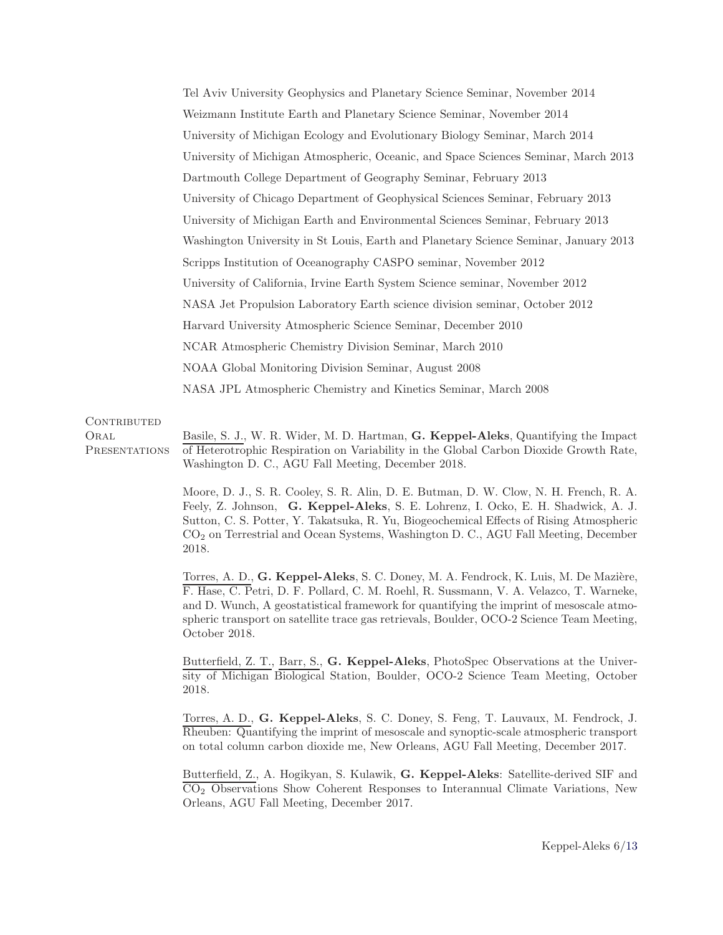Tel Aviv University Geophysics and Planetary Science Seminar, November 2014 Weizmann Institute Earth and Planetary Science Seminar, November 2014 University of Michigan Ecology and Evolutionary Biology Seminar, March 2014 University of Michigan Atmospheric, Oceanic, and Space Sciences Seminar, March 2013 Dartmouth College Department of Geography Seminar, February 2013 University of Chicago Department of Geophysical Sciences Seminar, February 2013 University of Michigan Earth and Environmental Sciences Seminar, February 2013 Washington University in St Louis, Earth and Planetary Science Seminar, January 2013 Scripps Institution of Oceanography CASPO seminar, November 2012 University of California, Irvine Earth System Science seminar, November 2012 NASA Jet Propulsion Laboratory Earth science division seminar, October 2012 Harvard University Atmospheric Science Seminar, December 2010 NCAR Atmospheric Chemistry Division Seminar, March 2010 NOAA Global Monitoring Division Seminar, August 2008 NASA JPL Atmospheric Chemistry and Kinetics Seminar, March 2008

#### CONTRIBUTED

**ORAL PRESENTATIONS** Basile, S. J., W. R. Wider, M. D. Hartman, G. Keppel-Aleks, Quantifying the Impact of Heterotrophic Respiration on Variability in the Global Carbon Dioxide Growth Rate, Washington D. C., AGU Fall Meeting, December 2018.

> Moore, D. J., S. R. Cooley, S. R. Alin, D. E. Butman, D. W. Clow, N. H. French, R. A. Feely, Z. Johnson, G. Keppel-Aleks, S. E. Lohrenz, I. Ocko, E. H. Shadwick, A. J. Sutton, C. S. Potter, Y. Takatsuka, R. Yu, Biogeochemical Effects of Rising Atmospheric CO<sup>2</sup> on Terrestrial and Ocean Systems, Washington D. C., AGU Fall Meeting, December 2018.

> Torres, A. D., G. Keppel-Aleks, S. C. Doney, M. A. Fendrock, K. Luis, M. De Mazière, F. Hase, C. Petri, D. F. Pollard, C. M. Roehl, R. Sussmann, V. A. Velazco, T. Warneke, and D. Wunch, A geostatistical framework for quantifying the imprint of mesoscale atmospheric transport on satellite trace gas retrievals, Boulder, OCO-2 Science Team Meeting, October 2018.

> Butterfield, Z. T., Barr, S., G. Keppel-Aleks, PhotoSpec Observations at the University of Michigan Biological Station, Boulder, OCO-2 Science Team Meeting, October 2018.

> Torres, A. D., G. Keppel-Aleks, S. C. Doney, S. Feng, T. Lauvaux, M. Fendrock, J. Rheuben: Quantifying the imprint of mesoscale and synoptic-scale atmospheric transport on total column carbon dioxide me, New Orleans, AGU Fall Meeting, December 2017.

> Butterfield, Z., A. Hogikyan, S. Kulawik, G. Keppel-Aleks: Satellite-derived SIF and CO2 Observations Show Coherent Responses to Interannual Climate Variations, New Orleans, AGU Fall Meeting, December 2017.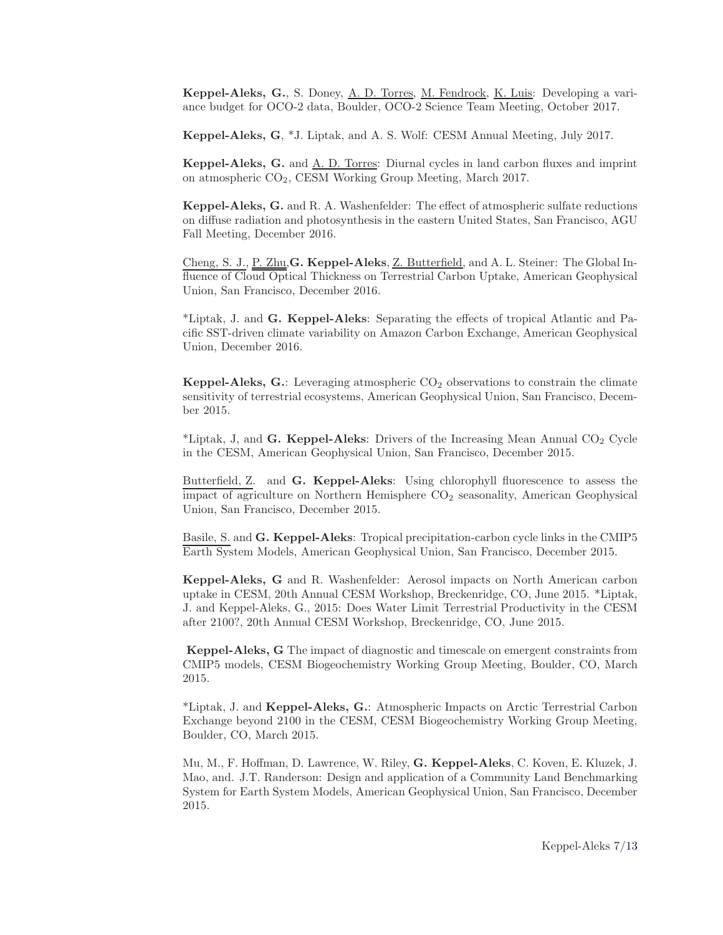Keppel-Aleks, G., S. Doney, A. D. Torres, M. Fendrock, K. Luis: Developing a variance budget for OCO-2 data, Boulder, OCO-2 Science Team Meeting, October 2017.

Keppel-Aleks, G, \*J. Liptak, and A. S. Wolf: CESM Annual Meeting, July 2017.

Keppel-Aleks, G. and A. D. Torres: Diurnal cycles in land carbon fluxes and imprint on atmospheric CO2, CESM Working Group Meeting, March 2017.

Keppel-Aleks, G. and R. A. Washenfelder: The effect of atmospheric sulfate reductions on diffuse radiation and photosynthesis in the eastern United States, San Francisco, AGU Fall Meeting, December 2016.

Cheng, S. J., P. Zhu, G. Keppel-Aleks, Z. Butterfield, and A. L. Steiner: The Global Influence of Cloud Optical Thickness on Terrestrial Carbon Uptake, American Geophysical Union, San Francisco, December 2016.

\*Liptak, J. and G. Keppel-Aleks: Separating the effects of tropical Atlantic and Pacific SST-driven climate variability on Amazon Carbon Exchange, American Geophysical Union, December 2016.

Keppel-Aleks,  $G$ .: Leveraging atmospheric  $CO<sub>2</sub>$  observations to constrain the climate sensitivity of terrestrial ecosystems, American Geophysical Union, San Francisco, December 2015.

\*Liptak, J, and G. Keppel-Aleks: Drivers of the Increasing Mean Annual  $CO<sub>2</sub>$  Cycle in the CESM, American Geophysical Union, San Francisco, December 2015.

Butterfield, Z. and G. Keppel-Aleks: Using chlorophyll fluorescence to assess the impact of agriculture on Northern Hemisphere  $CO<sub>2</sub>$  seasonality, American Geophysical Union, San Francisco, December 2015.

Basile, S. and G. Keppel-Aleks: Tropical precipitation-carbon cycle links in the CMIP5 Earth System Models, American Geophysical Union, San Francisco, December 2015.

Keppel-Aleks, G and R. Washenfelder: Aerosol impacts on North American carbon uptake in CESM, 20th Annual CESM Workshop, Breckenridge, CO, June 2015. \*Liptak, J. and Keppel-Aleks, G., 2015: Does Water Limit Terrestrial Productivity in the CESM after 2100?, 20th Annual CESM Workshop, Breckenridge, CO, June 2015.

Keppel-Aleks, G The impact of diagnostic and timescale on emergent constraints from CMIP5 models, CESM Biogeochemistry Working Group Meeting, Boulder, CO, March 2015.

\*Liptak, J. and Keppel-Aleks, G.: Atmospheric Impacts on Arctic Terrestrial Carbon Exchange beyond 2100 in the CESM, CESM Biogeochemistry Working Group Meeting, Boulder, CO, March 2015.

Mu, M., F. Hoffman, D. Lawrence, W. Riley, G. Keppel-Aleks, C. Koven, E. Kluzek, J. Mao, and. J.T. Randerson: Design and application of a Community Land Benchmarking System for Earth System Models, American Geophysical Union, San Francisco, December 2015.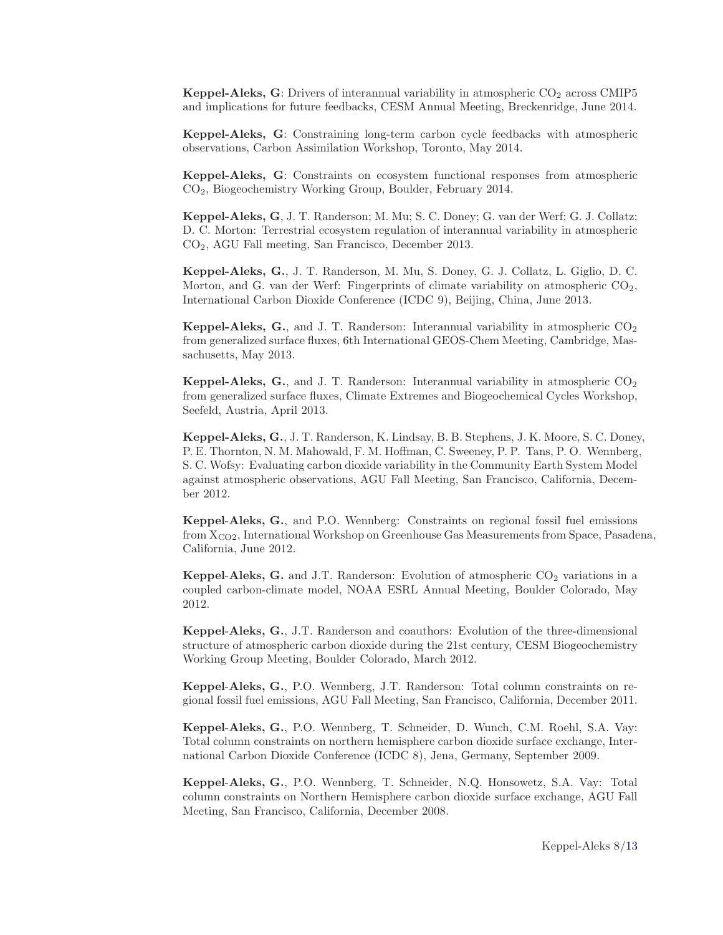**Keppel-Aleks, G**: Drivers of interannual variability in atmospheric  $CO<sub>2</sub>$  across CMIP5 and implications for future feedbacks, CESM Annual Meeting, Breckenridge, June 2014.

Keppel-Aleks, G: Constraining long-term carbon cycle feedbacks with atmospheric observations, Carbon Assimilation Workshop, Toronto, May 2014.

Keppel-Aleks, G: Constraints on ecosystem functional responses from atmospheric CO2, Biogeochemistry Working Group, Boulder, February 2014.

Keppel-Aleks, G, J. T. Randerson; M. Mu; S. C. Doney; G. van der Werf; G. J. Collatz; D. C. Morton: Terrestrial ecosystem regulation of interannual variability in atmospheric CO2, AGU Fall meeting, San Francisco, December 2013.

Keppel-Aleks, G., J. T. Randerson, M. Mu, S. Doney, G. J. Collatz, L. Giglio, D. C. Morton, and G. van der Werf: Fingerprints of climate variability on atmospheric  $CO<sub>2</sub>$ , International Carbon Dioxide Conference (ICDC 9), Beijing, China, June 2013.

**Keppel-Aleks, G.**, and J. T. Randerson: Interannual variability in atmospheric  $CO<sub>2</sub>$ from generalized surface fluxes, 6th International GEOS-Chem Meeting, Cambridge, Massachusetts, May 2013.

**Keppel-Aleks, G.**, and J. T. Randerson: Interannual variability in atmospheric  $CO_2$ from generalized surface fluxes, Climate Extremes and Biogeochemical Cycles Workshop, Seefeld, Austria, April 2013.

Keppel-Aleks, G., J. T. Randerson, K. Lindsay, B. B. Stephens, J. K. Moore, S. C. Doney, P. E. Thornton, N. M. Mahowald, F. M. Hoffman, C. Sweeney, P. P. Tans, P. O. Wennberg, S. C. Wofsy: Evaluating carbon dioxide variability in the Community Earth System Model against atmospheric observations, AGU Fall Meeting, San Francisco, California, December 2012.

Keppel-Aleks, G., and P.O. Wennberg: Constraints on regional fossil fuel emissions from  $X_{CO2}$ , International Workshop on Greenhouse Gas Measurements from Space, Pasadena, California, June 2012.

Keppel-Aleks, G. and J.T. Randerson: Evolution of atmospheric  $CO<sub>2</sub>$  variations in a coupled carbon-climate model, NOAA ESRL Annual Meeting, Boulder Colorado, May 2012.

Keppel-Aleks, G., J.T. Randerson and coauthors: Evolution of the three-dimensional structure of atmospheric carbon dioxide during the 21st century, CESM Biogeochemistry Working Group Meeting, Boulder Colorado, March 2012.

Keppel-Aleks, G., P.O. Wennberg, J.T. Randerson: Total column constraints on regional fossil fuel emissions, AGU Fall Meeting, San Francisco, California, December 2011.

Keppel-Aleks, G., P.O. Wennberg, T. Schneider, D. Wunch, C.M. Roehl, S.A. Vay: Total column constraints on northern hemisphere carbon dioxide surface exchange, International Carbon Dioxide Conference (ICDC 8), Jena, Germany, September 2009.

Keppel-Aleks, G., P.O. Wennberg, T. Schneider, N.Q. Honsowetz, S.A. Vay: Total column constraints on Northern Hemisphere carbon dioxide surface exchange, AGU Fall Meeting, San Francisco, California, December 2008.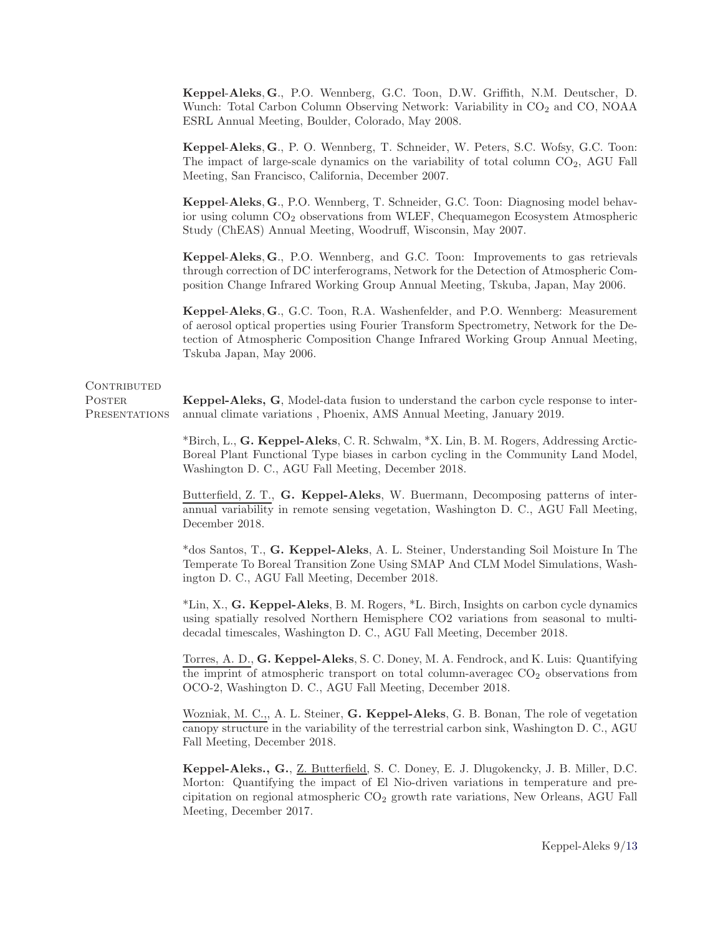Keppel-Aleks, <sup>G</sup>., P.O. Wennberg, G.C. Toon, D.W. Griffith, N.M. Deutscher, D. Wunch: Total Carbon Column Observing Network: Variability in CO<sub>2</sub> and CO, NOAA ESRL Annual Meeting, Boulder, Colorado, May 2008.

Keppel-Aleks, <sup>G</sup>., P. O. Wennberg, T. Schneider, W. Peters, S.C. Wofsy, G.C. Toon: The impact of large-scale dynamics on the variability of total column  $CO<sub>2</sub>$ , AGU Fall Meeting, San Francisco, California, December 2007.

Keppel-Aleks, <sup>G</sup>., P.O. Wennberg, T. Schneider, G.C. Toon: Diagnosing model behavior using column CO2 observations from WLEF, Chequamegon Ecosystem Atmospheric Study (ChEAS) Annual Meeting, Woodruff, Wisconsin, May 2007.

Keppel-Aleks, <sup>G</sup>., P.O. Wennberg, and G.C. Toon: Improvements to gas retrievals through correction of DC interferograms, Network for the Detection of Atmospheric Composition Change Infrared Working Group Annual Meeting, Tskuba, Japan, May 2006.

Keppel-Aleks, <sup>G</sup>., G.C. Toon, R.A. Washenfelder, and P.O. Wennberg: Measurement of aerosol optical properties using Fourier Transform Spectrometry, Network for the Detection of Atmospheric Composition Change Infrared Working Group Annual Meeting, Tskuba Japan, May 2006.

## CONTRIBUTED

POSTER. **PRESENTATIONS** 

Keppel-Aleks, G, Model-data fusion to understand the carbon cycle response to interannual climate variations , Phoenix, AMS Annual Meeting, January 2019.

\*Birch, L., G. Keppel-Aleks, C. R. Schwalm, \*X. Lin, B. M. Rogers, Addressing Arctic-Boreal Plant Functional Type biases in carbon cycling in the Community Land Model, Washington D. C., AGU Fall Meeting, December 2018.

Butterfield, Z. T., G. Keppel-Aleks, W. Buermann, Decomposing patterns of interannual variability in remote sensing vegetation, Washington D. C., AGU Fall Meeting, December 2018.

\*dos Santos, T., G. Keppel-Aleks, A. L. Steiner, Understanding Soil Moisture In The Temperate To Boreal Transition Zone Using SMAP And CLM Model Simulations, Washington D. C., AGU Fall Meeting, December 2018.

\*Lin, X., G. Keppel-Aleks, B. M. Rogers, \*L. Birch, Insights on carbon cycle dynamics using spatially resolved Northern Hemisphere CO2 variations from seasonal to multidecadal timescales, Washington D. C., AGU Fall Meeting, December 2018.

Torres, A. D., G. Keppel-Aleks, S. C. Doney, M. A. Fendrock, and K. Luis: Quantifying the imprint of atmospheric transport on total column-averagec  $CO<sub>2</sub>$  observations from OCO-2, Washington D. C., AGU Fall Meeting, December 2018.

Wozniak, M. C.,, A. L. Steiner, G. Keppel-Aleks, G. B. Bonan, The role of vegetation canopy structure in the variability of the terrestrial carbon sink, Washington D. C., AGU Fall Meeting, December 2018.

Keppel-Aleks., G., Z. Butterfield, S. C. Doney, E. J. Dlugokencky, J. B. Miller, D.C. Morton: Quantifying the impact of El Nio-driven variations in temperature and precipitation on regional atmospheric  $CO<sub>2</sub>$  growth rate variations, New Orleans, AGU Fall Meeting, December 2017.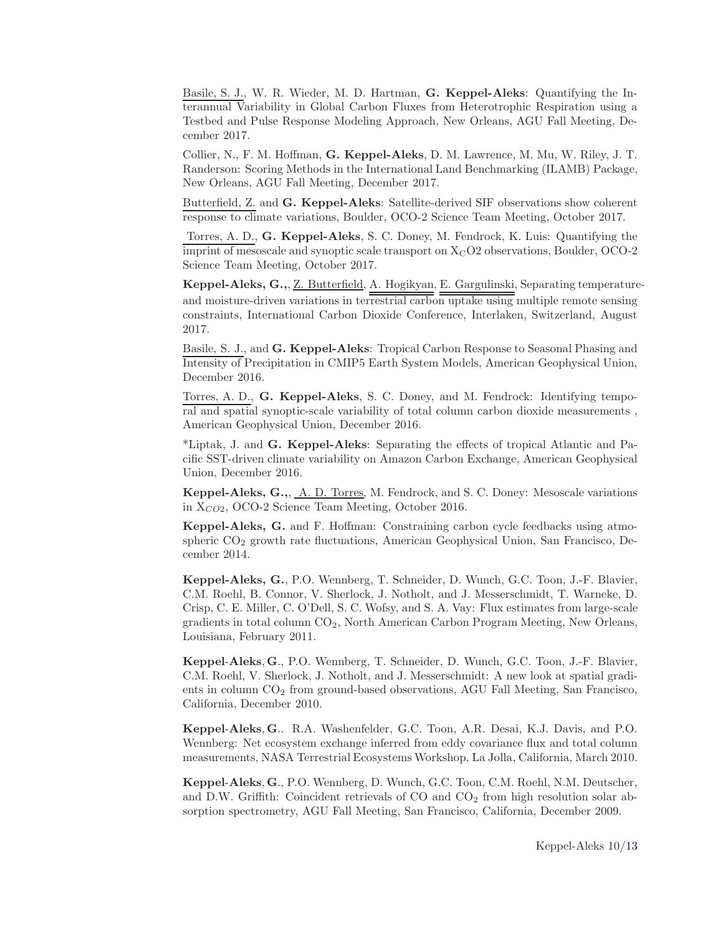Basile, S. J., W. R. Wieder, M. D. Hartman, G. Keppel-Aleks: Quantifying the Interannual Variability in Global Carbon Fluxes from Heterotrophic Respiration using a Testbed and Pulse Response Modeling Approach, New Orleans, AGU Fall Meeting, December 2017.

Collier, N., F. M. Hoffman, G. Keppel-Aleks, D. M. Lawrence, M. Mu, W. Riley, J. T. Randerson: Scoring Methods in the International Land Benchmarking (ILAMB) Package, New Orleans, AGU Fall Meeting, December 2017.

Butterfield, Z. and G. Keppel-Aleks: Satellite-derived SIF observations show coherent response to climate variations, Boulder, OCO-2 Science Team Meeting, October 2017.

Torres, A. D., G. Keppel-Aleks, S. C. Doney, M. Fendrock, K. Luis: Quantifying the imprint of mesoscale and synoptic scale transport on  $X<sub>C</sub>O2$  observations, Boulder,  $OCO-2$ Science Team Meeting, October 2017.

Keppel-Aleks, G.,, Z. Butterfield, A. Hogikyan, E. Gargulinski, Separating temperatureand moisture-driven variations in terrestrial carbon uptake using multiple remote sensing constraints, International Carbon Dioxide Conference, Interlaken, Switzerland, August 2017.

Basile, S. J., and G. Keppel-Aleks: Tropical Carbon Response to Seasonal Phasing and Intensity of Precipitation in CMIP5 Earth System Models, American Geophysical Union, December 2016.

Torres, A. D., G. Keppel-Aleks, S. C. Doney, and M. Fendrock: Identifying temporal and spatial synoptic-scale variability of total column carbon dioxide measurements , American Geophysical Union, December 2016.

\*Liptak, J. and G. Keppel-Aleks: Separating the effects of tropical Atlantic and Pacific SST-driven climate variability on Amazon Carbon Exchange, American Geophysical Union, December 2016.

Keppel-Aleks, G.,, A. D. Torres, M. Fendrock, and S. C. Doney: Mesoscale variations in  $X_{CO2}$ , OCO-2 Science Team Meeting, October 2016.

Keppel-Aleks, G. and F. Hoffman: Constraining carbon cycle feedbacks using atmospheric  $CO<sub>2</sub>$  growth rate fluctuations, American Geophysical Union, San Francisco, December 2014.

Keppel-Aleks, G., P.O. Wennberg, T. Schneider, D. Wunch, G.C. Toon, J.-F. Blavier, C.M. Roehl, B. Connor, V. Sherlock, J. Notholt, and J. Messerschmidt, T. Warneke, D. Crisp, C. E. Miller, C. O'Dell, S. C. Wofsy, and S. A. Vay: Flux estimates from large-scale gradients in total column CO<sub>2</sub>, North American Carbon Program Meeting, New Orleans, Louisiana, February 2011.

Keppel-Aleks, <sup>G</sup>., P.O. Wennberg, T. Schneider, D. Wunch, G.C. Toon, J.-F. Blavier, C.M. Roehl, V. Sherlock, J. Notholt, and J. Messerschmidt: A new look at spatial gradients in column  $CO<sub>2</sub>$  from ground-based observations, AGU Fall Meeting, San Francisco, California, December 2010.

Keppel-Aleks, <sup>G</sup>.. R.A. Washenfelder, G.C. Toon, A.R. Desai, K.J. Davis, and P.O. Wennberg: Net ecosystem exchange inferred from eddy covariance flux and total column measurements, NASA Terrestrial Ecosystems Workshop, La Jolla, California, March 2010.

Keppel-Aleks, <sup>G</sup>., P.O. Wennberg, D. Wunch, G.C. Toon, C.M. Roehl, N.M. Deutscher, and D.W. Griffith: Coincident retrievals of  $CO$  and  $CO<sub>2</sub>$  from high resolution solar absorption spectrometry, AGU Fall Meeting, San Francisco, California, December 2009.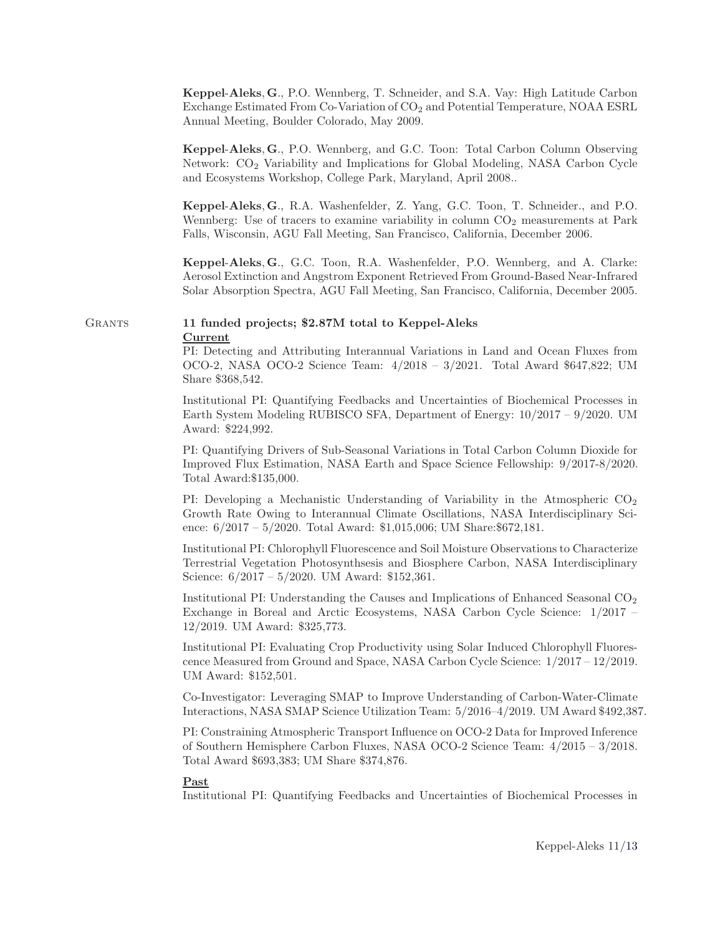Keppel-Aleks, <sup>G</sup>., P.O. Wennberg, T. Schneider, and S.A. Vay: High Latitude Carbon Exchange Estimated From Co-Variation of CO2 and Potential Temperature, NOAA ESRL Annual Meeting, Boulder Colorado, May 2009.

Keppel-Aleks, <sup>G</sup>., P.O. Wennberg, and G.C. Toon: Total Carbon Column Observing Network: CO<sub>2</sub> Variability and Implications for Global Modeling, NASA Carbon Cycle and Ecosystems Workshop, College Park, Maryland, April 2008..

Keppel-Aleks, <sup>G</sup>., R.A. Washenfelder, Z. Yang, G.C. Toon, T. Schneider., and P.O. Wennberg: Use of tracers to examine variability in column  $CO<sub>2</sub>$  measurements at Park Falls, Wisconsin, AGU Fall Meeting, San Francisco, California, December 2006.

Keppel-Aleks, <sup>G</sup>., G.C. Toon, R.A. Washenfelder, P.O. Wennberg, and A. Clarke: Aerosol Extinction and Angstrom Exponent Retrieved From Ground-Based Near-Infrared Solar Absorption Spectra, AGU Fall Meeting, San Francisco, California, December 2005.

Grants 11 funded projects; \$2.87M total to Keppel-Aleks Current

> PI: Detecting and Attributing Interannual Variations in Land and Ocean Fluxes from OCO-2, NASA OCO-2 Science Team: 4/2018 – 3/2021. Total Award \$647,822; UM Share \$368,542.

> Institutional PI: Quantifying Feedbacks and Uncertainties of Biochemical Processes in Earth System Modeling RUBISCO SFA, Department of Energy: 10/2017 – 9/2020. UM Award: \$224,992.

> PI: Quantifying Drivers of Sub-Seasonal Variations in Total Carbon Column Dioxide for Improved Flux Estimation, NASA Earth and Space Science Fellowship: 9/2017-8/2020. Total Award:\$135,000.

> PI: Developing a Mechanistic Understanding of Variability in the Atmospheric  $CO<sub>2</sub>$ Growth Rate Owing to Interannual Climate Oscillations, NASA Interdisciplinary Science: 6/2017 – 5/2020. Total Award: \$1,015,006; UM Share:\$672,181.

> Institutional PI: Chlorophyll Fluorescence and Soil Moisture Observations to Characterize Terrestrial Vegetation Photosynthsesis and Biosphere Carbon, NASA Interdisciplinary Science: 6/2017 – 5/2020. UM Award: \$152,361.

> Institutional PI: Understanding the Causes and Implications of Enhanced Seasonal CO<sub>2</sub> Exchange in Boreal and Arctic Ecosystems, NASA Carbon Cycle Science: 1/2017 – 12/2019. UM Award: \$325,773.

> Institutional PI: Evaluating Crop Productivity using Solar Induced Chlorophyll Fluorescence Measured from Ground and Space, NASA Carbon Cycle Science: 1/2017 – 12/2019. UM Award: \$152,501.

Co-Investigator: Leveraging SMAP to Improve Understanding of Carbon-Water-Climate Interactions, NASA SMAP Science Utilization Team: 5/2016–4/2019. UM Award \$492,387.

PI: Constraining Atmospheric Transport Influence on OCO-2 Data for Improved Inference of Southern Hemisphere Carbon Fluxes, NASA OCO-2 Science Team: 4/2015 – 3/2018. Total Award \$693,383; UM Share \$374,876.

### Past

Institutional PI: Quantifying Feedbacks and Uncertainties of Biochemical Processes in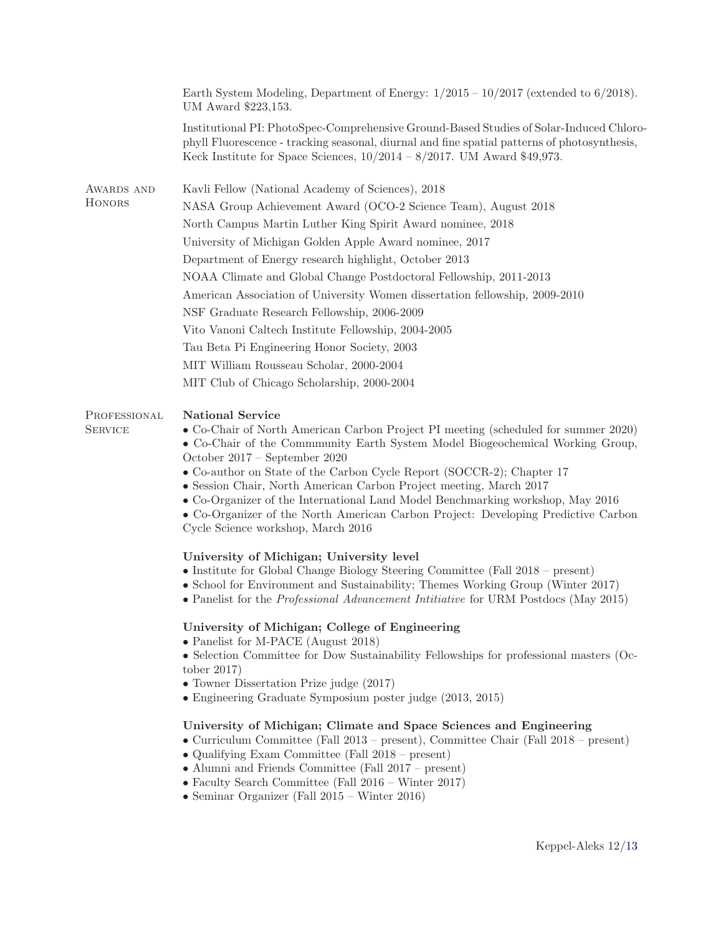|                                | Earth System Modeling, Department of Energy: $1/2015 - 10/2017$ (extended to 6/2018).<br>UM Award \$223,153.                                                                                                                                                                                                                                                                                                                                                                                                                                                                                                                                                                                                              |  |
|--------------------------------|---------------------------------------------------------------------------------------------------------------------------------------------------------------------------------------------------------------------------------------------------------------------------------------------------------------------------------------------------------------------------------------------------------------------------------------------------------------------------------------------------------------------------------------------------------------------------------------------------------------------------------------------------------------------------------------------------------------------------|--|
|                                | Institutional PI: PhotoSpec-Comprehensive Ground-Based Studies of Solar-Induced Chloro-<br>phyll Fluorescence - tracking seasonal, diurnal and fine spatial patterns of photosynthesis,<br>Keck Institute for Space Sciences, $10/2014 - 8/2017$ . UM Award \$49,973.                                                                                                                                                                                                                                                                                                                                                                                                                                                     |  |
| AWARDS AND                     | Kavli Fellow (National Academy of Sciences), 2018                                                                                                                                                                                                                                                                                                                                                                                                                                                                                                                                                                                                                                                                         |  |
| <b>HONORS</b>                  | NASA Group Achievement Award (OCO-2 Science Team), August 2018                                                                                                                                                                                                                                                                                                                                                                                                                                                                                                                                                                                                                                                            |  |
|                                | North Campus Martin Luther King Spirit Award nominee, 2018                                                                                                                                                                                                                                                                                                                                                                                                                                                                                                                                                                                                                                                                |  |
|                                | University of Michigan Golden Apple Award nominee, 2017                                                                                                                                                                                                                                                                                                                                                                                                                                                                                                                                                                                                                                                                   |  |
|                                | Department of Energy research highlight, October 2013                                                                                                                                                                                                                                                                                                                                                                                                                                                                                                                                                                                                                                                                     |  |
|                                | NOAA Climate and Global Change Postdoctoral Fellowship, 2011-2013                                                                                                                                                                                                                                                                                                                                                                                                                                                                                                                                                                                                                                                         |  |
|                                | American Association of University Women dissertation fellowship, 2009-2010                                                                                                                                                                                                                                                                                                                                                                                                                                                                                                                                                                                                                                               |  |
|                                | NSF Graduate Research Fellowship, 2006-2009                                                                                                                                                                                                                                                                                                                                                                                                                                                                                                                                                                                                                                                                               |  |
|                                | Vito Vanoni Caltech Institute Fellowship, 2004-2005                                                                                                                                                                                                                                                                                                                                                                                                                                                                                                                                                                                                                                                                       |  |
|                                | Tau Beta Pi Engineering Honor Society, 2003                                                                                                                                                                                                                                                                                                                                                                                                                                                                                                                                                                                                                                                                               |  |
|                                | MIT William Rousseau Scholar, 2000-2004                                                                                                                                                                                                                                                                                                                                                                                                                                                                                                                                                                                                                                                                                   |  |
|                                | MIT Club of Chicago Scholarship, 2000-2004                                                                                                                                                                                                                                                                                                                                                                                                                                                                                                                                                                                                                                                                                |  |
| PROFESSIONAL<br><b>SERVICE</b> | <b>National Service</b><br>• Co-Chair of North American Carbon Project PI meeting (scheduled for summer 2020)<br>• Co-Chair of the Commmunity Earth System Model Biogeochemical Working Group,<br>October 2017 - September 2020<br>• Co-author on State of the Carbon Cycle Report (SOCCR-2); Chapter 17<br>• Session Chair, North American Carbon Project meeting, March 2017<br>• Co-Organizer of the International Land Model Benchmarking workshop, May 2016<br>• Co-Organizer of the North American Carbon Project: Developing Predictive Carbon<br>Cycle Science workshop, March 2016<br>University of Michigan; University level<br>• Institute for Global Change Biology Steering Committee (Fall 2018 – present) |  |
|                                | • School for Environment and Sustainability; Themes Working Group (Winter 2017)<br>• Panelist for the <i>Professional Advancement Intitiative</i> for URM Postdocs (May 2015)                                                                                                                                                                                                                                                                                                                                                                                                                                                                                                                                             |  |
|                                | University of Michigan; College of Engineering<br>• Panelist for M-PACE (August 2018)                                                                                                                                                                                                                                                                                                                                                                                                                                                                                                                                                                                                                                     |  |
|                                | • Selection Committee for Dow Sustainability Fellowships for professional masters (Oc-<br>tober $2017$ )<br>• Towner Dissertation Prize judge (2017)<br>• Engineering Graduate Symposium poster judge (2013, 2015)                                                                                                                                                                                                                                                                                                                                                                                                                                                                                                        |  |
|                                | University of Michigan; Climate and Space Sciences and Engineering<br>• Curriculum Committee (Fall 2013 – present), Committee Chair (Fall 2018 – present)<br>• Qualifying Exam Committee (Fall 2018 - present)<br>$\bullet$ Alumni and Friends Committee (Fall 2017 – present)<br>• Faculty Search Committee (Fall $2016$ – Winter $2017$ )<br>• Seminar Organizer (Fall $2015$ – Winter $2016$ )                                                                                                                                                                                                                                                                                                                         |  |
|                                |                                                                                                                                                                                                                                                                                                                                                                                                                                                                                                                                                                                                                                                                                                                           |  |